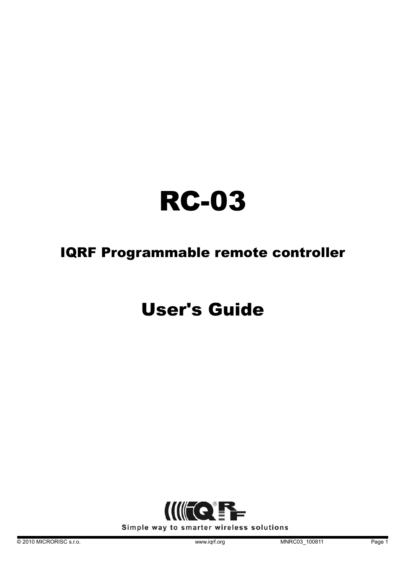# RC-03

# IQRF Programmable remote controller

# User's Guide

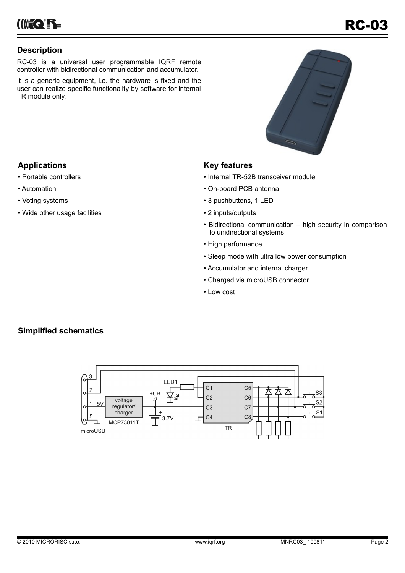**INFCERE** 

# **Description**

RC-03 is a universal user programmable IQRF remote controller with bidirectional communication and accumulator.

It is a generic equipment, i.e. the hardware is fixed and the user can realize specific functionality by software for internal TR module only.



# **Applications**

- Portable controllers
- Automation
- Voting systems
- Wide other usage facilities

# **Key features**

- Internal TR-52B transceiver module
- On-board PCB antenna
- 3 pushbuttons, 1 LED
- 2 inputs/outputs
- Bidirectional communication high security in comparison to unidirectional systems
- High performance
- Sleep mode with ultra low power consumption
- Accumulator and internal charger
- Charged via microUSB connector
- Low cost

# **Simplified schematics**

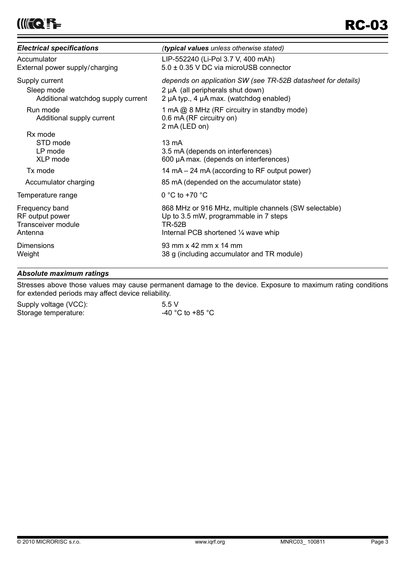| <b>Electrical specifications</b>                                          | (typical values unless otherwise stated)                                                                                                                |
|---------------------------------------------------------------------------|---------------------------------------------------------------------------------------------------------------------------------------------------------|
| Accumulator<br>External power supply/charging                             | LIP-552240 (Li-Pol 3.7 V, 400 mAh)<br>5.0 ± 0.35 V DC via microUSB connector                                                                            |
| Supply current<br>Sleep mode<br>Additional watchdog supply current        | depends on application SW (see TR-52B datasheet for details)<br>2 µA (all peripherals shut down)<br>2 µA typ., 4 µA max. (watchdog enabled)             |
| Run mode<br>Additional supply current                                     | 1 mA @ 8 MHz (RF circuitry in standby mode)<br>0.6 mA (RF circuitry on)<br>2 mA (LED on)                                                                |
| Rx mode<br>STD mode<br>LP mode<br>XLP mode                                | 13 mA<br>3.5 mA (depends on interferences)<br>600 µA max. (depends on interferences)                                                                    |
| Tx mode                                                                   | 14 mA – 24 mA (according to RF output power)                                                                                                            |
| Accumulator charging                                                      | 85 mA (depended on the accumulator state)                                                                                                               |
| Temperature range                                                         | 0 °C to +70 °C                                                                                                                                          |
| Frequency band<br>RF output power<br><b>Transceiver module</b><br>Antenna | 868 MHz or 916 MHz, multiple channels (SW selectable)<br>Up to 3.5 mW, programmable in 7 steps<br><b>TR-52B</b><br>Internal PCB shortened 1/4 wave whip |
| Dimensions<br>Weight                                                      | 93 mm x 42 mm x 14 mm<br>38 g (including accumulator and TR module)                                                                                     |

# *Absolute maximum ratings*

Stresses above those values may cause permanent damage to the device. Exposure to maximum rating conditions for extended periods may affect device reliability.

| Supply voltage (VCC): | 5.5V             |
|-----------------------|------------------|
| Storage temperature:  | -40 °C to +85 °C |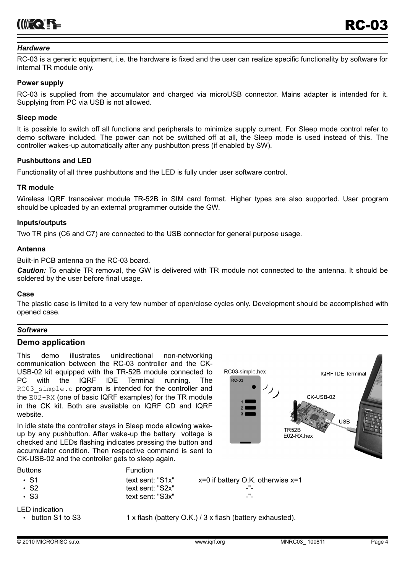

#### *Hardware*

RC-03 is a generic equipment, i.e. the hardware is fixed and the user can realize specific functionality by software for internal TR module only.

#### **Power supply**

RC-03 is supplied from the accumulator and charged via microUSB connector. Mains adapter is intended for it. Supplying from PC via USB is not allowed.

#### **Sleep mode**

It is possible to switch off all functions and peripherals to minimize supply current. For Sleep mode control refer to demo software included. The power can not be switched off at all, the Sleep mode is used instead of this. The controller wakes-up automatically after any pushbutton press (if enabled by SW).

#### **Pushbuttons and LED**

Functionality of all three pushbuttons and the LED is fully under user software control.

#### **TR module**

Wireless IQRF transceiver module TR-52B in SIM card format. Higher types are also supported. User program should be uploaded by an external programmer outside the GW.

#### **Inputs/outputs**

Two TR pins (C6 and C7) are connected to the USB connector for general purpose usage.

#### **Antenna**

Built-in PCB antenna on the RC-03 board.

*Caution:* To enable TR removal, the GW is delivered with TR module not connected to the antenna. It should be soldered by the user before final usage.

#### **Case**

The plastic case is limited to a very few number of open/close cycles only. Development should be accomplished with opened case.

#### *Software*

#### **Demo application**

This demo illustrates unidirectional non-networking communication between the RC-03 controller and the CK-USB-02 kit equipped with the TR-52B module connected to PC with the IQRF IDE Terminal running. The RC03 simple.c program is intended for the controller and the E02-RX (one of basic IQRF examples) for the TR module in the CK kit. Both are available on IQRF CD and IQRF website.

In idle state the controller stays in Sleep mode allowing wakeup by any pushbutton. After wake-up the battery voltage is checked and LEDs flashing indicates pressing the button and accumulator condition. Then respective command is sent to CK-USB-02 and the controller gets to sleep again.



Buttons **Function** 

| $\cdot$ S1             | text sent: "S1x" | $x=0$ if battery O.K. otherwise $x=1$ |
|------------------------|------------------|---------------------------------------|
| $\cdot$ S <sub>2</sub> | text sent: "S2x" | -"-                                   |
| $\cdot$ S3             | text sent: "S3x" | -"-                                   |

LED indication

• button S1 to S3  $1 \times$  flash (battery O.K.) / 3  $\times$  flash (battery exhausted).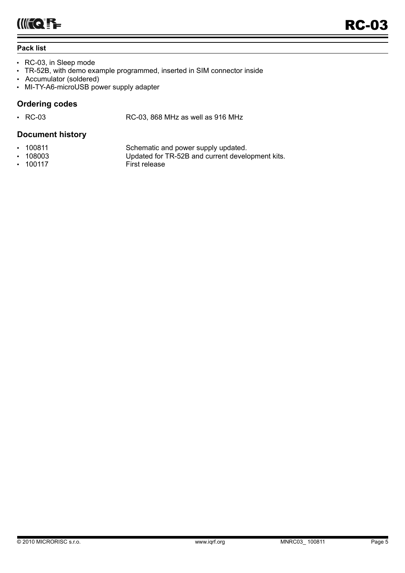# **Pack list**

- RC-03, in Sleep mode
- TR-52B, with demo example programmed, inserted in SIM connector inside
- Accumulator (soldered)
- MI-TY-A6-microUSB power supply adapter

# **Ordering codes**

• RC-03 RC-03, 868 MHz as well as 916 MHz

# **Document history**

- 
- 
- 100117 First release

• 100811 Schematic and power supply updated.<br>• 108003 Updated for TR-52B and current develop-• 108003 Updated for TR-52B and current development kits.